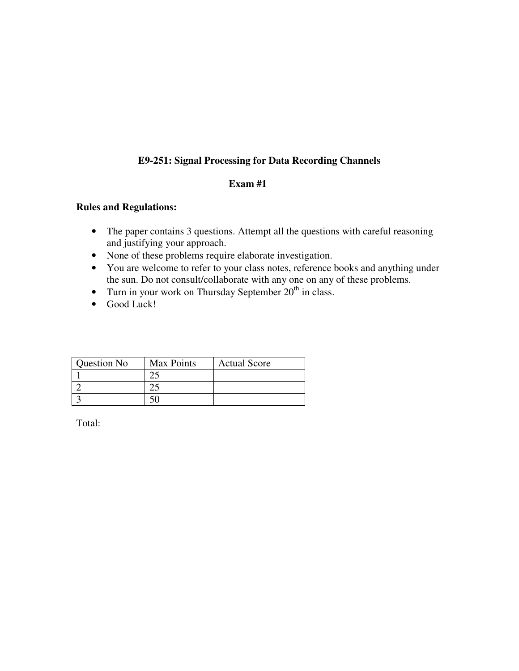## **E9-251: Signal Processing for Data Recording Channels**

## **Exam #1**

## **Rules and Regulations:**

- The paper contains 3 questions. Attempt all the questions with careful reasoning and justifying your approach.
- None of these problems require elaborate investigation.
- You are welcome to refer to your class notes, reference books and anything under the sun. Do not consult/collaborate with any one on any of these problems.
- Turn in your work on Thursday September  $20<sup>th</sup>$  in class.
- Good Luck!

| Question No | Max Points | <b>Actual Score</b> |
|-------------|------------|---------------------|
|             |            |                     |
|             |            |                     |
|             |            |                     |

Total: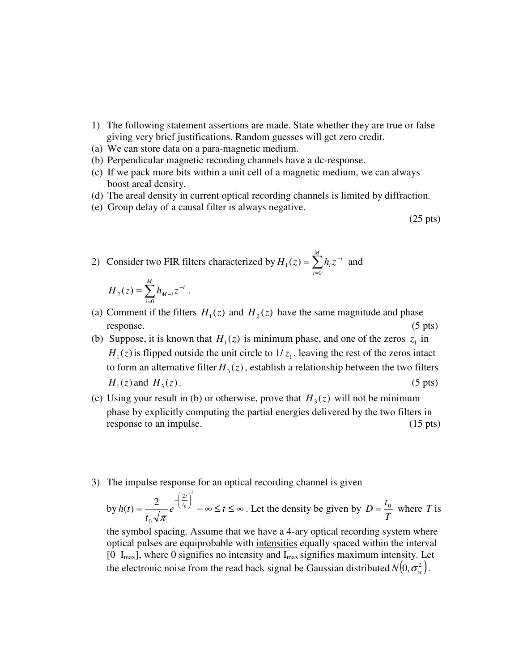- 1) The following statement assertions are made. State whether they are true or false giving very brief justifications. Random guesses will get zero credit.
- (a) We can store data on a para-magnetic medium.
- (b) Perpendicular magnetic recording channels have a dc-response.
- (c) If we pack more bits within a unit cell of a magnetic medium, we can always boost areal density.
- (d) The areal density in current optical recording channels is limited by diffraction.
- (e) Group delay of a causal filter is always negative.

(25 pts)

2) Consider two FIR filters characterized by  $H_1(z) = \sum_{n=1}^{\infty}$ =  $=\sum h_i z^-$ *M i*  $H_1(z) = \sum h_i z^{-i}$  $\mathbf{0}$  $h_1(z) = \sum h_i z^{-i}$  and

$$
H_2(z) = \sum_{i=0}^{M} h_{M-i} z^{-i} .
$$

- (a) Comment if the filters  $H_1(z)$  and  $H_2(z)$  have the same magnitude and phase response. (5 pts)
- (b) Suppose, it is known that  $H_1(z)$  is minimum phase, and one of the zeros  $z_1$  in  $H_1(z)$  is flipped outside the unit circle to  $1/z_1$ , leaving the rest of the zeros intact to form an alternative filter  $H_3(z)$ , establish a relationship between the two filters  $H_1(z)$  and  $H_3(z)$ .  $H_3(z)$ . (5 pts)
- (c) Using your result in (b) or otherwise, prove that  $H_3(z)$  will not be minimum phase by explicitly computing the partial energies delivered by the two filters in response to an impulse. (15 pts) (15 pts)
- 3) The impulse response for an optical recording channel is given

by 
$$
h(t) = \frac{2}{t_0\sqrt{\pi}}e^{-\left(\frac{2t}{t_0}\right)^2} - \infty \le t \le \infty
$$
. Let the density be given by  $D = \frac{t_0}{T}$  where T is

the symbol spacing. Assume that we have a 4-ary optical recording system where optical pulses are equiprobable with intensities equally spaced within the interval [0  $I_{max}$ ], where 0 signifies no intensity and  $I_{max}$  signifies maximum intensity. Let the electronic noise from the read back signal be Gaussian distributed  $N(0, \sigma_w^2)$ .